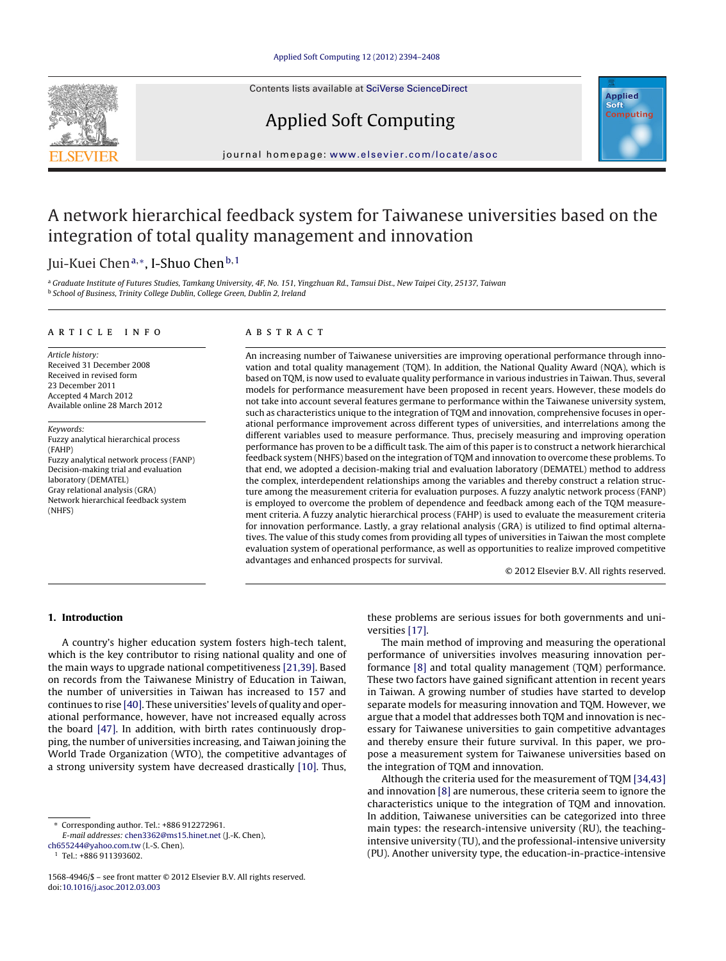Contents lists available at SciVerse [ScienceDirect](http://www.sciencedirect.com/science/journal/15684946)







iournal homepage: <www.elsevier.com/locate/asoc>

# A network hierarchical feedback system for Taiwanese universities based on the integration of total quality management and innovation

# Jui-Kuei Chen<sup>a,</sup>\*, I-Shuo Chen<sup>b,1</sup>

<sup>a</sup> Graduate Institute of Futures Studies, Tamkang University, 4F, No. 151, Yingzhuan Rd., Tamsui Dist., New Taipei City, 25137, Taiwan <sup>b</sup> School of Business, Trinity College Dublin, College Green, Dublin 2, Ireland

#### ARTICLE INFO

Article history: Received 31 December 2008 Received in revised form 23 December 2011 Accepted 4 March 2012 Available online 28 March 2012

Keywords: Fuzzy analytical hierarchical process (FAHP) Fuzzy analytical network process (FANP) Decision-making trial and evaluation laboratory (DEMATEL) Gray relational analysis (GRA) Network hierarchical feedback system (NHFS)

## A B S T R A C T

An increasing number of Taiwanese universities are improving operational performance through innovation and total quality management (TQM). In addition, the National Quality Award (NQA), which is based on TQM, is now used to evaluate quality performance in various industries in Taiwan. Thus, several models for performance measurement have been proposed in recent years. However, these models do not take into account several features germane to performance within the Taiwanese university system, such as characteristics unique to the integration of TQM and innovation, comprehensive focuses in operational performance improvement across different types of universities, and interrelations among the different variables used to measure performance. Thus, precisely measuring and improving operation performance has proven to be a difficult task. The aim of this paper is to construct a network hierarchical feedback system (NHFS) based on the integration of TQM and innovation to overcome these problems. To that end, we adopted a decision-making trial and evaluation laboratory (DEMATEL) method to address the complex, interdependent relationships among the variables and thereby construct a relation structure among the measurement criteria for evaluation purposes. A fuzzy analytic network process (FANP) is employed to overcome the problem of dependence and feedback among each of the TQM measurement criteria. A fuzzy analytic hierarchical process (FAHP) is used to evaluate the measurement criteria for innovation performance. Lastly, a gray relational analysis (GRA) is utilized to find optimal alternatives. The value of this study comes from providing all types of universities in Taiwan the most complete evaluation system of operational performance, as well as opportunities to realize improved competitive advantages and enhanced prospects for survival.

© 2012 Elsevier B.V. All rights reserved.

# **1. Introduction**

A country's higher education system fosters high-tech talent, which is the key contributor to rising national quality and one of the main ways to upgrade national competitiveness [\[21,39\].](#page--1-0) Based on records from the Taiwanese Ministry of Education in Taiwan, the number of universities in Taiwan has increased to 157 and continues to rise [\[40\].](#page--1-0) These universities' levels of quality and operational performance, however, have not increased equally across the board [\[47\].](#page--1-0) In addition, with birth rates continuously dropping, the number of universities increasing, and Taiwan joining the World Trade Organization (WTO), the competitive advantages of a strong university system have decreased drastically [\[10\].](#page--1-0) Thus,

∗ Corresponding author. Tel.: +886 912272961.

E-mail addresses: [chen3362@ms15.hinet.net](mailto:chen3362@ms15.hinet.net) (J.-K. Chen),

[ch655244@yahoo.com.tw](mailto:ch655244@yahoo.com.tw) (I.-S. Chen).

these problems are serious issues for both governments and universities [\[17\].](#page--1-0)

The main method of improving and measuring the operational performance of universities involves measuring innovation performance [\[8\]](#page--1-0) and total quality management (TQM) performance. These two factors have gained significant attention in recent years in Taiwan. A growing number of studies have started to develop separate models for measuring innovation and TQM. However, we argue that a model that addresses both TQM and innovation is necessary for Taiwanese universities to gain competitive advantages and thereby ensure their future survival. In this paper, we propose a measurement system for Taiwanese universities based on the integration of TQM and innovation.

Although the criteria used for the measurement of TQM [\[34,43\]](#page--1-0) and innovation [\[8\]](#page--1-0) are numerous, these criteria seem to ignore the characteristics unique to the integration of TQM and innovation. In addition, Taiwanese universities can be categorized into three main types: the research-intensive university (RU), the teachingintensive university (TU), and the professional-intensive university (PU). Another university type, the education-in-practice-intensive

 $1$  Tel: +886 911393602

<sup>1568-4946/\$</sup> – see front matter © 2012 Elsevier B.V. All rights reserved. doi:[10.1016/j.asoc.2012.03.003](dx.doi.org/10.1016/j.asoc.2012.03.003)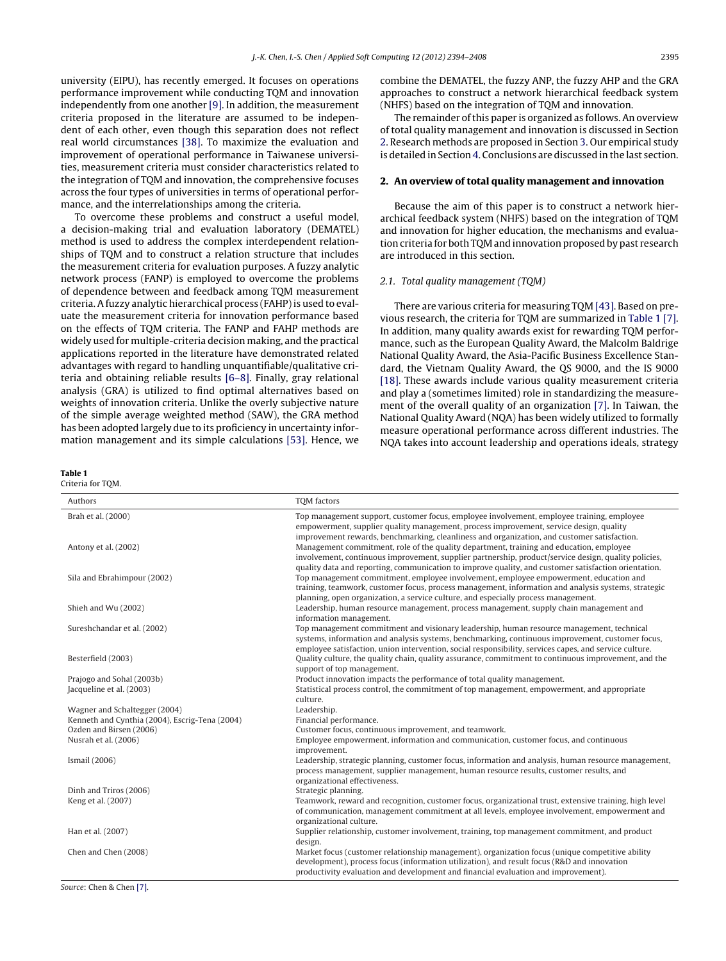university (EIPU), has recently emerged. It focuses on operations performance improvement while conducting TQM and innovation independently from one another [\[9\].](#page--1-0) In addition, the measurement criteria proposed in the literature are assumed to be independent of each other, even though this separation does not reflect real world circumstances [\[38\].](#page--1-0) To maximize the evaluation and improvement of operational performance in Taiwanese universities, measurement criteria must consider characteristics related to the integration of TQM and innovation, the comprehensive focuses across the four types of universities in terms of operational performance, and the interrelationships among the criteria.

To overcome these problems and construct a useful model, a decision-making trial and evaluation laboratory (DEMATEL) method is used to address the complex interdependent relationships of TQM and to construct a relation structure that includes the measurement criteria for evaluation purposes. A fuzzy analytic network process (FANP) is employed to overcome the problems of dependence between and feedback among TQM measurement criteria. A fuzzy analytic hierarchical process (FAHP) is used to evaluate the measurement criteria for innovation performance based on the effects of TQM criteria. The FANP and FAHP methods are widely used for multiple-criteria decision making, and the practical applications reported in the literature have demonstrated related advantages with regard to handling unquantifiable/qualitative criteria and obtaining reliable results [\[6–8\].](#page--1-0) Finally, gray relational analysis (GRA) is utilized to find optimal alternatives based on weights of innovation criteria. Unlike the overly subjective nature of the simple average weighted method (SAW), the GRA method has been adopted largely due to its proficiency in uncertainty information management and its simple calculations [\[53\].](#page--1-0) Hence, we

#### **Table 1** Criteria for TQM.

combine the DEMATEL, the fuzzy ANP, the fuzzy AHP and the GRA approaches to construct a network hierarchical feedback system (NHFS) based on the integration of TQM and innovation.

The remainder ofthis paper is organized as follows. An overview of total quality management and innovation is discussed in Section 2. Research methods are proposed in Section [3.](#page--1-0) Our empirical study is detailed in Section [4.](#page--1-0) Conclusions are discussed in the last section.

# **2. An overview of total quality management and innovation**

Because the aim of this paper is to construct a network hierarchical feedback system (NHFS) based on the integration of TQM and innovation for higher education, the mechanisms and evaluation criteria for both TQMand innovation proposed by past research are introduced in this section.

### 2.1. Total quality management (TQM)

There are various criteria for measuring TQM [\[43\].](#page--1-0) Based on previous research, the criteria for TQM are summarized in Table 1 [\[7\].](#page--1-0) In addition, many quality awards exist for rewarding TQM performance, such as the European Quality Award, the Malcolm Baldrige National Quality Award, the Asia-Pacific Business Excellence Standard, the Vietnam Quality Award, the QS 9000, and the IS 9000 [\[18\].](#page--1-0) These awards include various quality measurement criteria and play a (sometimes limited) role in standardizing the measurement of the overall quality of an organization [\[7\].](#page--1-0) In Taiwan, the National Quality Award (NQA) has been widely utilized to formally measure operational performance across different industries. The NQA takes into account leadership and operations ideals, strategy

| Authors                                        | <b>TOM</b> factors                                                                                                                                                                                                                                                                                      |
|------------------------------------------------|---------------------------------------------------------------------------------------------------------------------------------------------------------------------------------------------------------------------------------------------------------------------------------------------------------|
| Brah et al. (2000)                             | Top management support, customer focus, employee involvement, employee training, employee<br>empowerment, supplier quality management, process improvement, service design, quality<br>improvement rewards, benchmarking, cleanliness and organization, and customer satisfaction.                      |
| Antony et al. (2002)                           | Management commitment, role of the quality department, training and education, employee<br>involvement, continuous improvement, supplier partnership, product/service design, quality policies,<br>quality data and reporting, communication to improve quality, and customer satisfaction orientation. |
| Sila and Ebrahimpour (2002)                    | Top management commitment, employee involvement, employee empowerment, education and<br>training, teamwork, customer focus, process management, information and analysis systems, strategic<br>planning, open organization, a service culture, and especially process management.                       |
| Shieh and Wu (2002)                            | Leadership, human resource management, process management, supply chain management and<br>information management.                                                                                                                                                                                       |
| Sureshchandar et al. (2002)                    | Top management commitment and visionary leadership, human resource management, technical<br>systems, information and analysis systems, benchmarking, continuous improvement, customer focus,<br>employee satisfaction, union intervention, social responsibility, services capes, and service culture.  |
| Besterfield (2003)                             | Quality culture, the quality chain, quality assurance, commitment to continuous improvement, and the<br>support of top management.                                                                                                                                                                      |
| Prajogo and Sohal (2003b)                      | Product innovation impacts the performance of total quality management.                                                                                                                                                                                                                                 |
| Jacqueline et al. (2003)                       | Statistical process control, the commitment of top management, empowerment, and appropriate<br>culture.                                                                                                                                                                                                 |
| Wagner and Schaltegger (2004)                  | Leadership.                                                                                                                                                                                                                                                                                             |
| Kenneth and Cynthia (2004), Escrig-Tena (2004) | Financial performance.                                                                                                                                                                                                                                                                                  |
| Ozden and Birsen (2006)                        | Customer focus, continuous improvement, and teamwork.                                                                                                                                                                                                                                                   |
| Nusrah et al. (2006)                           | Employee empowerment, information and communication, customer focus, and continuous<br>improvement.                                                                                                                                                                                                     |
| Ismail (2006)                                  | Leadership, strategic planning, customer focus, information and analysis, human resource management,<br>process management, supplier management, human resource results, customer results, and<br>organizational effectiveness.                                                                         |
| Dinh and Triros (2006)                         | Strategic planning.                                                                                                                                                                                                                                                                                     |
| Keng et al. (2007)                             | Teamwork, reward and recognition, customer focus, organizational trust, extensive training, high level<br>of communication, management commitment at all levels, employee involvement, empowerment and<br>organizational culture.                                                                       |
| Han et al. (2007)                              | Supplier relationship, customer involvement, training, top management commitment, and product<br>design.                                                                                                                                                                                                |
| Chen and Chen (2008)                           | Market focus (customer relationship management), organization focus (unique competitive ability<br>development), process focus (information utilization), and result focus (R&D and innovation<br>productivity evaluation and development and financial evaluation and improvement).                    |